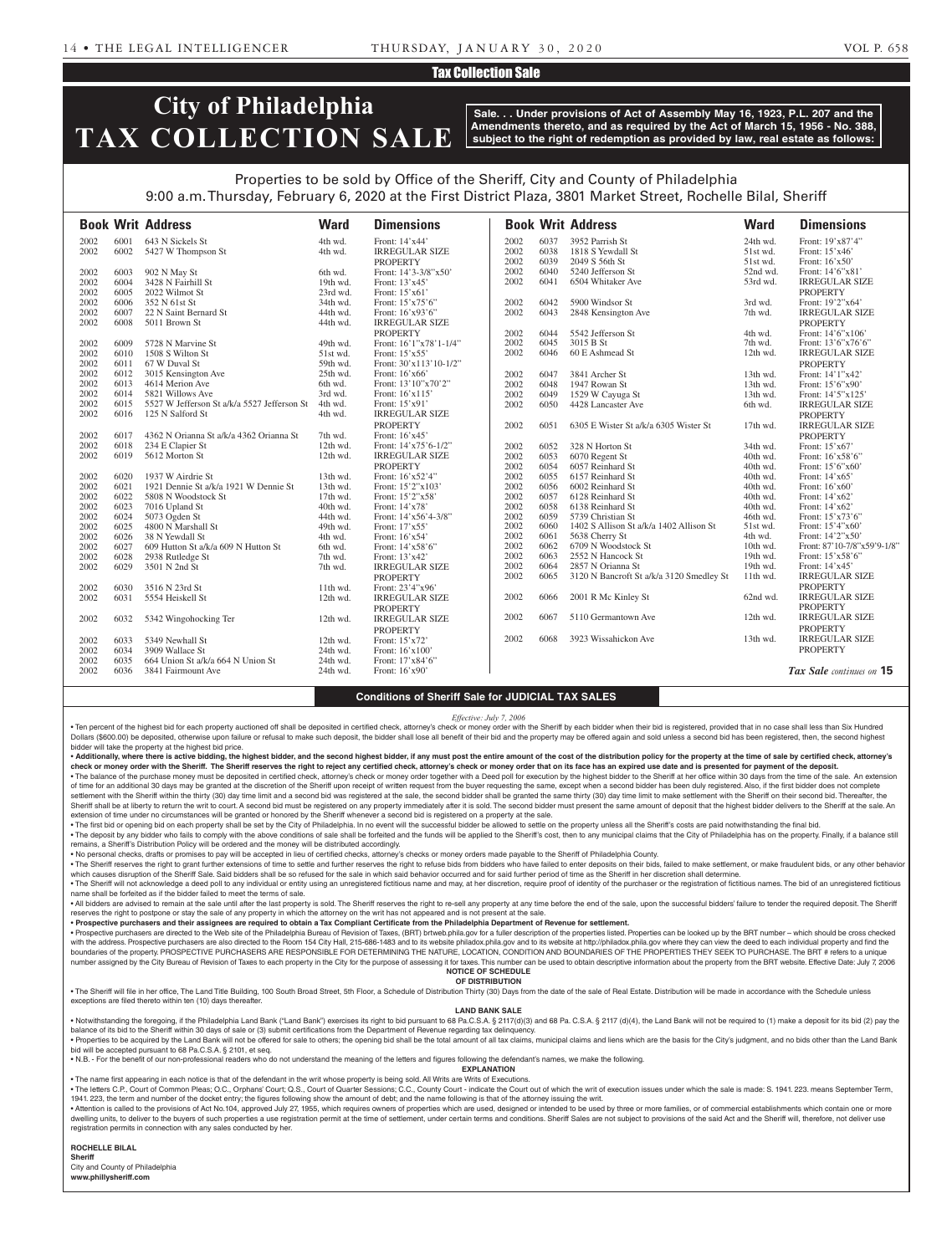### Tax Collection Sale

## **City of Philadelphia TAX COLLECTION SALE**

**Sale. . . Under provisions of Act of Assembly May 16, 1923, P.L. 207 and the Amendments thereto, and as required by the Act of March 15, 1956 - No. 388, subject to the right of redemption as provided by law, real estate as follows:**

## Properties to be sold by Office of the Sheriff, City and County of Philadelphia 9:00 a.m. Thursday, February 6, 2020 at the First District Plaza, 3801 Market Street, Rochelle Bilal, Sheriff

|      |      | <b>Book Writ Address</b>                    | <b>Ward</b> | <b>Dimensions</b>      |      |      | <b>Book Writ Address</b>                 | <b>Ward</b> | <b>Dimensions</b>           |
|------|------|---------------------------------------------|-------------|------------------------|------|------|------------------------------------------|-------------|-----------------------------|
| 2002 | 6001 | 643 N Sickels St                            | 4th wd.     | Front: 14'x44'         | 2002 | 6037 | 3952 Parrish St                          | 24th wd.    | Front: 19'x87'4"            |
| 2002 | 6002 | 5427 W Thompson St                          | 4th wd.     | <b>IRREGULAR SIZE</b>  | 2002 | 6038 | 1818 S Yewdall St                        | 51st wd.    | Front: 15'x46'              |
|      |      |                                             |             | <b>PROPERTY</b>        | 2002 | 6039 | 2049 S 56th St                           | 51st wd.    | Front: 16'x50'              |
| 2002 | 6003 | 902 N May St                                | 6th wd.     | Front: 14'3-3/8"x50'   | 2002 | 6040 | 5240 Jefferson St                        | 52nd wd.    | Front: 14'6"x81'            |
| 2002 | 6004 | 3428 N Fairhill St                          | 19th wd.    | Front: 13'x45'         | 2002 | 6041 | 6504 Whitaker Ave                        | 53rd wd.    | <b>IRREGULAR SIZE</b>       |
| 2002 | 6005 | 2022 Wilmot St                              | 23rd wd.    | Front: 15'x61'         |      |      |                                          |             | <b>PROPERTY</b>             |
| 2002 | 6006 | 352 N 61st St                               | 34th wd.    | Front: 15'x75'6"       | 2002 | 6042 | 5900 Windsor St                          | 3rd wd.     | Front: 19'2"x64'            |
| 2002 | 6007 | 22 N Saint Bernard St                       | 44th wd.    | Front: 16'x93'6"       | 2002 | 6043 | 2848 Kensington Ave                      | 7th wd.     | <b>IRREGULAR SIZE</b>       |
| 2002 | 6008 | 5011 Brown St                               | 44th wd.    | <b>IRREGULAR SIZE</b>  |      |      |                                          |             | <b>PROPERTY</b>             |
|      |      |                                             |             | <b>PROPERTY</b>        | 2002 | 6044 | 5542 Jefferson St                        | 4th wd.     | Front: 14'6"x106'           |
| 2002 | 6009 | 5728 N Marvine St                           | 49th wd.    | Front: 16'1"x78'1-1/4" | 2002 | 6045 | 3015 B St                                | 7th wd.     | Front: 13'6"x76'6"          |
| 2002 | 6010 | 1508 S Wilton St                            | 51st wd.    | Front: 15'x55'         | 2002 | 6046 | 60 E Ashmead St                          | $12th$ wd.  | <b>IRREGULAR SIZE</b>       |
| 2002 | 6011 | 67 W Duval St                               | 59th wd.    | Front: 30'x113'10-1/2" |      |      |                                          |             | <b>PROPERTY</b>             |
| 2002 | 6012 | 3015 Kensington Ave                         | 25th wd.    | Front: 16'x66'         | 2002 | 6047 | 3841 Archer St                           | $13th$ wd.  | Front: 14'1"x42'            |
| 2002 | 6013 | 4614 Merion Ave                             | 6th wd.     | Front: 13'10"x70'2"    | 2002 | 6048 | 1947 Rowan St                            | 13th wd.    | Front: 15'6"x90"            |
| 2002 | 6014 | 5821 Willows Ave                            | 3rd wd.     | Front: 16'x115'        | 2002 | 6049 | 1529 W Cayuga St                         | 13th wd.    | Front: 14'5"x125'           |
| 2002 | 6015 | 5527 W Jefferson St a/k/a 5527 Jefferson St | 4th wd.     | Front: 15'x91'         | 2002 | 6050 | 4428 Lancaster Ave                       | 6th wd.     | <b>IRREGULAR SIZE</b>       |
| 2002 | 6016 | 125 N Salford St                            | 4th wd.     | <b>IRREGULAR SIZE</b>  |      |      |                                          |             | <b>PROPERTY</b>             |
|      |      |                                             |             | <b>PROPERTY</b>        | 2002 | 6051 | 6305 E Wister St a/k/a 6305 Wister St    | 17th wd.    | <b>IRREGULAR SIZE</b>       |
| 2002 | 6017 | 4362 N Orianna St a/k/a 4362 Orianna St     | 7th wd.     | Front: 16'x45'         |      |      |                                          |             | <b>PROPERTY</b>             |
| 2002 | 6018 | 234 E Clapier St                            | 12th wd.    | Front: 14'x75'6-1/2"   | 2002 | 6052 | 328 N Horton St                          | 34th wd.    | Front: 15'x67'              |
| 2002 | 6019 | 5612 Morton St                              | 12th wd.    | <b>IRREGULAR SIZE</b>  | 2002 | 6053 | 6070 Regent St                           | 40th wd.    | Front: 16'x58'6"            |
|      |      |                                             |             | <b>PROPERTY</b>        | 2002 | 6054 | 6057 Reinhard St                         | 40th wd.    | Front: 15'6"x60"            |
| 2002 | 6020 | 1937 W Airdrie St                           | 13th wd.    | Front: 16'x52'4"       | 2002 | 6055 | 6157 Reinhard St                         | 40th wd.    | Front: 14'x65'              |
| 2002 | 6021 | 1921 Dennie St a/k/a 1921 W Dennie St       | 13th wd.    | Front: 15'2"x103'      | 2002 | 6056 | 6002 Reinhard St                         | 40th wd.    | Front: 16'x60'              |
| 2002 | 6022 | 5808 N Woodstock St                         | 17th wd.    | Front: 15'2"x58'       | 2002 | 6057 | 6128 Reinhard St                         | 40th wd.    | Front: 14'x62'              |
| 2002 | 6023 | 7016 Upland St                              | 40th wd.    | Front: 14'x78'         | 2002 | 6058 | 6138 Reinhard St                         | 40th wd.    | Front: 14'x62'              |
| 2002 | 6024 | 5073 Ogden St                               | 44th wd.    | Front: 14'x56'4-3/8"   | 2002 | 6059 | 5739 Christian St                        | 46th wd.    | Front: 15'x73'6"            |
| 2002 | 6025 | 4800 N Marshall St                          | 49th wd.    | Front: 17'x55'         | 2002 | 6060 | 1402 S Allison St a/k/a 1402 Allison St  | 51st wd.    | Front: 15'4"x60'            |
| 2002 | 6026 | 38 N Yewdall St                             | 4th wd.     | Front: 16'x54'         | 2002 | 6061 | 5638 Cherry St                           | 4th wd.     | Front: 14'2"x50"            |
| 2002 | 6027 | 609 Hutton St a/k/a 609 N Hutton St         | 6th wd.     | Front: 14'x58'6"       | 2002 | 6062 | 6709 N Woodstock St                      | 10th wd.    | Front: 87'10-7/8"x59'9-1/8" |
| 2002 | 6028 | 2938 Rutledge St                            | 7th wd.     | Front: 13'x42'         | 2002 | 6063 | 2552 N Hancock St                        | 19th wd.    | Front: 15'x58'6"            |
| 2002 | 6029 | 3501 N 2nd St                               | 7th wd.     | <b>IRREGULAR SIZE</b>  | 2002 | 6064 | 2857 N Orianna St                        | 19th wd.    | Front: 14'x45'              |
|      |      |                                             |             | <b>PROPERTY</b>        | 2002 | 6065 | 3120 N Bancroft St a/k/a 3120 Smedley St | $11th$ wd.  | <b>IRREGULAR SIZE</b>       |
| 2002 | 6030 | 3516 N 23rd St                              | $11th$ wd.  | Front: 23'4"x96'       |      |      |                                          |             | <b>PROPERTY</b>             |
| 2002 | 6031 | 5554 Heiskell St                            | 12th wd.    | <b>IRREGULAR SIZE</b>  | 2002 | 6066 | 2001 R Mc Kinley St                      | 62nd wd.    | <b>IRREGULAR SIZE</b>       |
|      |      |                                             |             | <b>PROPERTY</b>        |      |      |                                          |             | <b>PROPERTY</b>             |
| 2002 | 6032 | 5342 Wingohocking Ter                       | 12th wd.    | <b>IRREGULAR SIZE</b>  | 2002 | 6067 | 5110 Germantown Ave                      | $12th$ wd.  | <b>IRREGULAR SIZE</b>       |
|      |      |                                             |             | <b>PROPERTY</b>        |      |      |                                          |             | <b>PROPERTY</b>             |
| 2002 | 6033 | 5349 Newhall St                             | 12th wd.    | Front: 15'x72'         | 2002 | 6068 | 3923 Wissahickon Ave                     | 13th wd.    | <b>IRREGULAR SIZE</b>       |
| 2002 | 6034 | 3909 Wallace St                             | 24th wd.    | Front: 16'x100'        |      |      |                                          |             | <b>PROPERTY</b>             |
| 2002 | 6035 | 664 Union St a/k/a 664 N Union St           | 24th wd.    | Front: 17'x84'6"       |      |      |                                          |             |                             |
| 2002 | 6036 | 3841 Fairmount Ave                          | 24th wd.    | Front: $16'x90'$       |      |      |                                          |             | Tax Sale continues on 15    |
|      |      |                                             |             |                        |      |      |                                          |             |                             |

### **Conditions of Sheriff Sale for JUDICIAL TAX SALES**

#### *Effective: July 7, 2006*

. Ten percent of the highest bid for each property auctioned off shall be deposited in certified check, attorney's check or money order with the Sheriff by each bidder when their bid is registered, provided that in no case Dollars (\$600.00) be deposited, otherwise upon failure or refusal to make such deposit, the bidder shall lose all benefit of their bid and the property may be offered again and sold unless a second bid has been registered, bidder will take the property at the highest bid price.

. Additionally, where there is active bidding, the highest bidder, and the second highest bidder, if any must post the entire amount of the cost of the distribution policy for the property at the time of sale by certified check or money order with the Sheriff. The Sheriff reserves the right to reject any certified check, attorney's check or money order that on its face has an expired use date and is presented for payment of the deposit. . The balance of the purchase money must be deposited in certified check, attorney's check or money order together with a Deed poll for execution by the highest bidder to the Sheriff at her office within 30 days from the t of time for an additional 30 days may be granted at the discretion of the Sheriff upon receipt of written request from the buyer requesting the same, except when a second bidder has been duly registered. Also, if the first settlement with the Sheriff within the thirty (30) day time limit and a second bid was registered at the sale, the second bidder shall be granted the same thirty (30) day time limit to make settlement with the Sheriff on t Sheriff shall be at liberty to return the writ to court. A second bid must be registered on any property immediately after it is sold. The second bidder must present the same amount of deposit that the highest bidder deliv

extension of time under no circumstances will be granted or honored by the Sheriff whenever a second bid is registered on a property at the sale. . The first bid or opening bid on each property shall be set by the City of Philadelphia. In no event will the successful bidder be allowed to settle on the property unless all the Sheriff's costs are paid notwithstanding . The deposit by any bidder who fails to comply with the above conditions of sale shall be forfeited and the funds will be applied to the Sheriff's cost, then to any municipal claims that the City of Philadelphia has on th

remains, a Sheriff's Distribution Policy will be ordered and the money will be distributed accordingly.

• No personal checks, drafts or promises to pay will be accepted in lieu of certified checks, attorney's checks or money orders made payable to the Sheriff of Philadelphia County.

. The Sheriff reserves the right to grant further extensions of time to settle and further reserves the right to refuse bids from bidders who have failed to enter deposits on their bids, failed to make settlement, or make which causes disruption of the Sheriff Sale. Said bidders shall be so refused for the sale in which said behavior occurred and for said further period of time as the Sheriff in her discretion shall determine. . The Sheriff will not acknowledge a deed poll to any individual or entity using an unregistered fictitious name and may, at her discretion, require proof of identity of the purchaser or the registration of fictitious name

name shall be forfeited as if the bidder failed to meet the terms of sale. . All bidders are advised to remain at the sale until after the last property is sold. The Sheriff reserves the right to re-sell any property at any time before the end of the sale, upon the successful bidders' failure to reserves the right to postpone or stay the sale of any property in which the attorney on the writ has not appeared and is not present at the sale.

• **Prospective purchasers and their assignees are required to obtain a Tax Compliant Certificate from the Philadelphia Department of Revenue for settlement.**

· Prospective purchasers are directed to the Web site of the Philadelphia Bureau of Revision of Taxes, (BRT) brtweb.phila.gov for a fuller description of the properties listed. Properties can be looked up by the BRT number with the address. Prospective purchasers are also directed to the Room 154 City Hall, 215-686-1483 and to its website philadox.phila.gov and to its website at http://philadox.phila.gov where they can view the deed to each boundaries of the property. PROSPECTIVE PURCHASERS ARE RESPONSIBLE FOR DETERMINING THE NATURE, LOCATION, CONDITION AND BOUNDARIES OF THE PROPERTIES THEY SEEK TO PURCHASE. The BRT # refers to a unique number assigned by the City Bureau of Revision of Taxes to each property in the City for the purpose of assessing it for taxes. This number can be used to obtain descriptive information about the property from the BRT webs **NOTICE OF SCHEDULE**

#### **OF DISTRIBUTION**

. The Sheriff will file in her office, The Land Title Building, 100 South Broad Street, 5th Floor, a Schedule of Distribution Thirty (30) Days from the date of the sale of Real Estate. Distribution will be made in accordan exceptions are filed thereto within ten (10) days thereafter

#### **LAND BANK SALE**

• Notwithstanding the foregoing, if the Philadelphia Land Bank ("Land Bank") exercises its right to bid pursuant to 68 Pa.C.S.A. § 2117(d)(3) and 68 Pa.C.S.A. § 2117 (d)(4), the Land Bank will not be required to (1) make a balance of its bid to the Sheriff within 30 days of sale or (3) submit certifications from the Department of Revenue regarding tax delinquency.

. Properties to be acquired by the Land Bank will not be offered for sale to others; the opening bid shall be the total amount of all tax claims, municipal claims and liens which are the basis for the City's judgment, and bid will be accepted pursuant to 68 Pa.C.S.A. § 2101, et seq.

• N.B. - For the benefit of our non-professional readers who do not understand the meaning of the letters and figures following the defendant's names, we make the following. **EXPLANATION** 

• The name first appearing in each notice is that of the defendant in the writ whose property is being sold. All Writs are Writs of Executions.

• The letters C.P., Court of Common Pleas: O.C., Orphans' Court: Q.S., Court of Quarter Sessions: C.C., County Court - indicate the Court out of which the writ of execution issues under which the sale is made: S. 1941, 223 1941. 223, the term and number of the docket entry; the figures following show the amount of debt; and the name following is that of the attorney issuing the writ.

. Attention is called to the provisions of Act No.104, approved July 27, 1955, which requires owners of properties which are used, designed or intended to be used by three or more families, or of commercial establishments dwelling units, to deliver to the buyers of such properties a use registration permit at the time of settlement, under certain terms and conditions. Sheriff Sales are not subject to provisions of the said Act and the Sheri registration permits in connection with any sales conducted by her.

#### **ROCHELLE BILAL**

**Sheriff**  City and County of Philadelphia **www.phillysheriff.com**